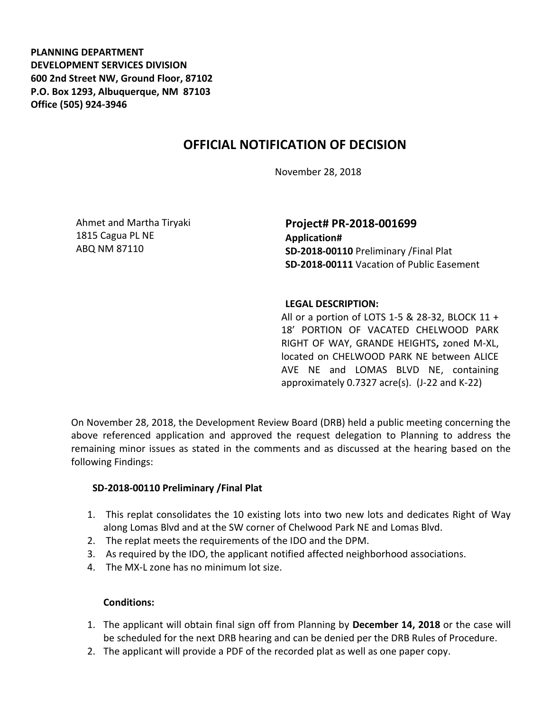**PLANNING DEPARTMENT DEVELOPMENT SERVICES DIVISION 600 2nd Street NW, Ground Floor, 87102 P.O. Box 1293, Albuquerque, NM 87103 Office (505) 924-3946** 

# **OFFICIAL NOTIFICATION OF DECISION**

November 28, 2018

Ahmet and Martha Tiryaki 1815 Cagua PL NE ABQ NM 87110

## **Project# PR-2018-001699 Application# SD-2018-00110** Preliminary /Final Plat **SD-2018-00111** Vacation of Public Easement

### **LEGAL DESCRIPTION:**

All or a portion of LOTS 1-5 & 28-32, BLOCK 11 + 18' PORTION OF VACATED CHELWOOD PARK RIGHT OF WAY, GRANDE HEIGHTS**,** zoned M-XL, located on CHELWOOD PARK NE between ALICE AVE NE and LOMAS BLVD NE, containing approximately 0.7327 acre(s). (J-22 and K-22)

On November 28, 2018, the Development Review Board (DRB) held a public meeting concerning the above referenced application and approved the request delegation to Planning to address the remaining minor issues as stated in the comments and as discussed at the hearing based on the following Findings:

### **SD-2018-00110 Preliminary /Final Plat**

- 1. This replat consolidates the 10 existing lots into two new lots and dedicates Right of Way along Lomas Blvd and at the SW corner of Chelwood Park NE and Lomas Blvd.
- 2. The replat meets the requirements of the IDO and the DPM.
- 3. As required by the IDO, the applicant notified affected neighborhood associations.
- 4. The MX-L zone has no minimum lot size.

### **Conditions:**

- 1. The applicant will obtain final sign off from Planning by **December 14, 2018** or the case will be scheduled for the next DRB hearing and can be denied per the DRB Rules of Procedure.
- 2. The applicant will provide a PDF of the recorded plat as well as one paper copy.